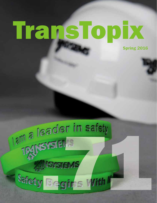# TransTopix

Spring 2016

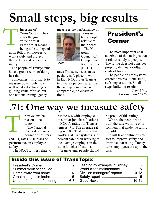# **Small steps, big results**

his issue of *TransTopix* emphasizes the guiding value of trust. Part of trust means being able to depend upon fellow employees to work safely and protect themselves and others from injury. T

The people of Transystems have a great record of doing just that.

Sometimes it is difficult to measure objectively how well we do at achieving our guiding value of trust, but one national rating agency

measures the performance of

Transystems people relative to their peers. The Na-

tional

Council of Compensation Insurers



**Scott** 

(NCCI) rates Transystems as an especially safe place to work. In fact, NCCI rates Transystems as 29 percent safer than the average employer with comparable job classifications.

### President's Corner

The most important characteristic of this rating is that it relates solely to people. The rating does not consider property damage or other costs of losses.

The people of Transystems created this result one small, safe step at a time. Small steps build big results.

> *Scott Lind, President and COO*

# **.71: One way we measure safety**

ransystems has reason to celebrate. The National Council of Compensation Insurers (NCCI) rates businesses on performance in employee safety. T

businesses with employees in similar job classifications.

NCCI's rating for Transystems is .71. The average rating is 1.00. That means that working at Transystems is 29 percent safer than working at the average employer in the same job classifications. Transystems people should

be proud of this rating.

We are the people who built the safe working environment that made the rating possible.

It will take continuous effort to improve safety and improve that rating. Transystems employees are up to the task.

The NCCI ratings relate to

#### Inside this issue of TransTopix

| Summer work scheduled  3       |
|--------------------------------|
|                                |
|                                |
| Update from manufacturing  6-7 |
|                                |

| World-class maintenance  8        |  |
|-----------------------------------|--|
| Division managers' reports  10-13 |  |
|                                   |  |
|                                   |  |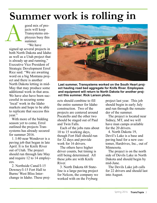# **Summer work is rolling in**

good mix of projects will keep Transystems employees busy this summer. "We have

signed up several projects in both North Dakota and Idaho as well as a Utah project that is already up and running," Executive Vice President of Strategic Development Errol Rice said. "We are awaiting word on a big Montana project and there is another North Dakota letting in mid-May that may produce some additional work in that area. We have also have been successful in securing some 'local' work in the Idaho markets and hope to be able to replicate that success this year." A

With more of the bidding season yet to come, Errol outlined the projects Transystems has already secured for summer 2016.

1. I-80 near Wendover is a paving job that began in late April. It is for Knife River out of Utah. The project should run through late May and require 12 to 14 employees.

2. Northside Canal/I-15 Downey/I-15 Fort Hall to Burns/ West Bliss Interchange in Idaho. These proj-



**Last summer, Transystems worked on the South Heart project hauling road bed aggregate for Knife River. Employees and equipment will return to North Dakota for another project this summer. Rick Larson photo.**

ects should combine to fill the entire summer for Idaho construction. Two of the projects are centered around Pocatello and the other two should be staged out of Paul and Twin Falls.

Each of the jobs runs about 10 to 15 working days, though Fort Hall should run for 32 days and provide work for 16 drivers.

The others have higher driver counts, but timing is still being determined. All these jobs are with Knife River.

3. North Dakota 68 Stateline is a large paving project for Nelcon, the company we worked with on the Fryburg

project last year. This job should begin in early July and run through the remainder of the summer.

The project is located near Sidney, MT, and we will have man camps available for the 20 drivers.

4. North Dakota 19, Devil's Lake is a base and paving haul for a new customer, Hardrives, Inc., out of Minnesota.

The project is on the north side of Devils Lake in North Dakota and should begin by mid-June.

The Devils Lake job calls for 22 drivers and should last into August.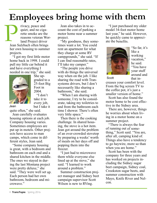# **Employees bring home with them**

rivacy, peace and quiet, and no cigarette smoke are the reasons veteran Worland Project driver Jean Sulzbach often brings her own housing to summer projects. **Paradon**<br>Jean S

"I got my first little motor home back in 1998. I could pull my little car behind it and have everything I needed in one trip," she said.



She upgraded to a 25-foot Big Foot in 2004. "I don't take it to every job, but I take it

Jean

quite often," she said.

Jean carefully evaluates housing options at each job. Company housing varies. Sometimes employees are put up in motels. Other projects have access to man camps, which come in different styles, Jean said.

"Some company housing is great, with a bedroom and bathroom on each end and a shared kitchen in the middle. The ones we stayed in during the last Montana project were pretty deluxe," she said. "They were well set up. Each person had her own bathroom, bedroom and microwave."

Jean also takes in to account the cost of parking a motor home near a summer project.

"My goodness, they sometimes want a lot. You could rent an apartment for what they charge at some RV campgrounds," she said. "If I can find reasonable rates, I'll take my camper."

"The people you drive with do things the universal way when on the job. I like sharing the road with Transystems drivers, but I don't necessarily like sharing a bathroom," she said.

"When I am sharing with someone, I try to be considerate, taking my toiletries to and from the bathroom each time I shower. There's often very little space."

Then there is the cooking challenge. In shared housing, the stove is a hot item. Jean got around the problem of an over-crowded stovetop by preparing a weeks' worth of meals on her days off and popping them into the freezer.

"I just had to microwave them while everyone else lined up at the stove," she said. "I learned to work around a problem."

Summer construction project manager and Sidney beet campaign supervisor Scott Wilson is new to RVing.

"I just purchased my older model 34-foot motor home last year," he said. However, he quickly came to appreciate the benefits.



"So far, it's like a working vacation," he said. "You have your stuff around and that in-

**Scott** 

creases your comfort level. From the big screen TV to the coffee pot, it's just a smaller version of home."

Scott has also found the motor home to be cost effective in the Sidney area.

There are, however, things he worries about when living in a motor home on a summer project.

"There is always the fear of running out of something," Scott said. "You are, after all, camping kind of. Things also have a tendency to go haywire, more so than when you are home."

Scott has been with the company for three years and has worked on projects including the Sidney sugar beet campaign, Sidney coal, Crookston sugar beets, and summer construction with Mayo, Knife River and Nelcon.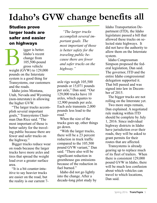# **Idaho's GVW change benefits all**

#### Studies prove larger loads are safer and easier on highways

igger is better. Idaho's recent change from 105,500-pound gross vehicle weight (GVW) to 129,000 pounds on the Interstate system is a good thing for Transystems, our customers and the roads. **B**<br>weight

Idaho joins Montana, Utah, Nevada and Wyoming (non-interstate) in allowing the higher GVW.

"The larger trucks accomplish several important goals," Transystems Chairman Dan Rice said. "The most important of those is better safety for the traveling public because there are fewer and safer trucks on the highway."

Bigger trucks reduce wear on roads because the larger trucks have more axles and tires that spread the weight load over a greater surface area.

"It is a bit counter-intuitive to say heavier trucks are easier on the road, but the reality is our current 7-

*"The larger trucks accomplish several important goals. The most important of those is better safety for the traveling public because there are fewer and safer trucks on the highway."*

axle rigs weigh 105,500 pounds or 15,071 pounds per axle," Dan said. "Our 129,000 trucks have 10 axles, which equates to 12,900 pounds per axle. Each axle transmits 2,000 pounds less load to the road."

When the size of the trucks goes up, other things go down.

"With the larger trucks, there will be a 23 percent reduction in truck traffic compared to the 105,500 pound GVW variant," Dan said. "There also will be significant reduction in greenhouse gas emissions because of the reduction in fuel burned."

Idaho did not go lightly into the change. After a decade-long pilot study by

Idaho Transportation Department (ITD), the Idaho legislature passed a bill that allowed these trucks on selected state highways. It did not have the authority to allow them on the Interstate system.

Idaho Congressman Simpson proposed the federal legislation, Dan said. The governor, ITD and the entire Idaho congressional delegation supported it. That bill passed and was signed into law in December of 2015.

The bigger trucks are not rolling on the Interstate yet.

Two more steps remain, Dan explained. A negotiated rule making within ITD should be complete by July 1, 2016. Since individual highway districts in Idaho have jurisdiction over their roads, they will be asked to grant permits for their routes that are affected.

Transystems is already gearing up to replace much of its fleet of trailers. When there is consistent 129,000 pound GVW in Idaho, there will be much less confusion about which vehicles can travel to which locations, Dan said.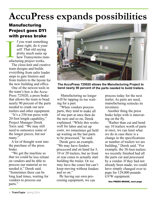# **AccuPress expands possibilities**

#### Manufacturing Project goes DYI with press brake

f you want something done right, do it yourself. That old saying pretty much sums up how Transystems manufacturing project works. **International Property** 

The close-knit and creative team designs and builds everything from safer loader steps to gate limiters and from trailers to the layout for the new building and office.

One of the newest tools in the team's box is the Accu-Press 725020, a press brake that allows the team to bend nearly 90 percent of the parts needed to crank out new trailers and other equipment.

"It's a 250-ton press with 20-foot length capability," Project Manager Derek Torix said. "We may still need to outsource some of the longer pieces, but not many."

A lot of thought went into the purchase of the press brake.

"We got the machine so that we could be less reliant on vendors and be able to process our material as we needed it," Derek said. "Sometimes there can be long lead times, waiting for vendors to process our parts."



**The AccuPress 725020 allows the Manufacturing Project to bend nearly 90 percent of the parts needed to build trailers.**

 Manufacturing no longer will be tapping its toe waiting for <sup>a</sup> part.

"When vendors process parts, they tend to make all of one par<sup>t</sup> at once then do the next and so on, Derek explained. "While this works well for labor and set up costs, we sometimes ge<sup>t</sup> held up waiting on the last parts to be processed," he said.

Derek gave an example. "We may have fenders processed and on hand for 5, 10 or 20 trailers, but no front or rear cones to actually start building the trailer. Or we may have the cones but can't keep moving without fenders and so on."

By having our own processing equipment, we can

process today for the next trailer. As parts are used, manufacturing restocks its inventory.

Another thing the press brake helps with is innovating on the fly.

"Rather than cut and bend say 10 trailers worth of parts at once, we can limit what we do in case there is a change in the specifications or number of trailers we are building," Derek said. "For example, the 38-foot trailers we recently finished had all the parts cut and processed by a vendor. If they had not already been made, we could have simply changed over to pups for 129,000 pounds GVW equipment.

See PRESS BRAKE, next page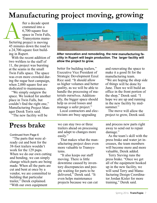### **Manufacturing project moving, growing**

fter a decade spent crammed into a 6,700-square foot space in Twin Falls, Transystems manufacturing project is moving 45 minutes down the road to a 24,700-square foot building in Rupert. facturing

> With the recent addition of two welders to the staff of 11, the project was bursting at the seams in the small Twin Falls space. The space was even more crowded during the sugar beet campaign, when 2,000 square feet are dedicated to maintenance.

> "We simply outgrew the space. We looked for another place in Twin Falls, but couldn't find the right one," Manufacturing Project Manager Derek Torix said.

"The new facility will be



**After renovation and remodeling, the new manufacturing facility in Rupert will begin production. The larger facility will allow the project to grow.** 

better for building trailers," Executive Vice President of Strategic Development Errol Rice said. "It should allow us higher volumes and better quality, as we will be able to handle the processing of materials ourselves. Additionally, the bigger space should help us avoid losses and manage a safer project."

Local contractors and electricians are busy upgrading

and renovating the space to make it a good fit for the manufacturing team. "We are hoping the shop side of things will be done by June. Then we will build an office in the front portion of the shop," Derek said. "I hope we are up and running in the new facility by midsummer."

The move will allow the project to grow, Derek said.

### **Press brake**

Continued from Page 6

"The parts that were already cut and bent for the 38-foot trailers wouldn't work for the 129 pups. When we do our own cutting and bending, we can simply change which parts are being made. When all the parts are cut and bent at once by a vendor, we are committed to building that particular trailer," Derek explained. "With our own equipment

we can stay two or three trailers ahead on processing and adapt to changes more easily."

That makes what the manufacturing project does even more valuable to Transystems.

"It also keeps our staff moving. There is little downtime caused by inventory discrepancies and people waiting for parts to be delivered," Derek said. "It even helps maintenance projects because we can cut and process new parts right away to send out to repair damage."

As the team's skill with the press brake and water jet increases, the team members will become more and more valuable, Derek added.

Terry Sieving runs the press brake. "Once we get all of the equipment hooked up in the new facility, we will send Terry and Manufacturing Design Coordinator Jordan Kisler for more training," Derek said.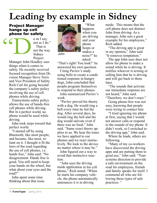# **Leading by example in Sidney**

### Project Manager hangs up cell phone for safety "D

o as I say, not as I do." That is not the way Sidney **Project** 

Manager John Hoadley sees things when it comes to safety. He recently received focused recognition from Division Manager Steve Torix and Vice President of Safety Rich Carl for going beyond the company's safety policy involving the use of cell phones while driving.

Transystems safety policy allows the use of hands-free cell phones while driving. But in a perfect world, no phone would be used while driving.

John took steps toward that perfect world. 

"I started off by using Bluetooth, like most people, and became, like most, reliant on it. I thought it fit the laws of the road regarding the use of cell phones, i.e. hands free," John said. "No disagreement. Hands free is good. You still need to keepyour hands on the wheel, but what about your eyes and the road?"

John spent some time thinking about that issue.



John

"What happens when you are driving and your phone beeps or makes a noise?" he asked.

"That's right! You look!" he answered his own question.

Citing Pavlov's study using bells to create a conditioned response in hungry dogs, John concluded that people program themselves to respond to their phones.

John summarized Pavlov's work.

"Pavlov proved his theory with a dog. He would ring a bell every time he fed the dog. After several days, he would ring the bell and the dog would salivate even if there was no food," John said. "Same exact theory applies to us. We hear the tones we have applied to our phones and we react instinctively. We look to the device no matter where it may be."

John figured out a way to avoid that instinctive reaction.

"John uses the driving mode application in his cell phone," Rich noted. "When he starts his company vehicle, the phone automatically announces it is in driving

mode. This means that the cell phone does not distract John from driving. As a manager, John sets a great example for his employees," Rich added.

"The driving app is great in my opinion," John said. "It removes temptation." 

The app John uses does not allow his phone to make a sound while he is driving. It notifies whoever is texting or calling him that he is driving and will get back to them later.

"The sounds that activate our immediate response are not heard," John said.

"Therefore, we don't react." Going phone-free was not

easy, knowing that people were trying to contact him.

"I tried ignoring my phone at first, saying that I would not answer calls or respond to the sounds of my phone. It didn't work, so I switched to the driving app," John said.

Where he leads, others are following.

"Many of my co-workers have discovered the driving apps and are putting them to good use," John said. "Transystems direction to provide a safe environment on the road for employees, friends and family speaks for itself. I commend all who are following these types of safe practices. "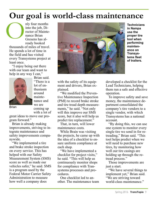### **Our goal is world-class maintenance**

nly four months into the job, Director of Maintenance Brian Gresens has already booked thousands of miles of travel. He spends a lot of time in the field and has visited every Transystems project at least once.

"I enjoy being out there with our team and want to help in any way I can,"



Brian said. "There is a lot of enthusiasm around maintenance and we are coming up with a lot of

Brian

great ideas to move our program forward."

Brian is already making improvements, striving to integrate maintenance and safety improvements companywide.

"We implemented a tire and brake stroke inspection on every service. This has helped with our Safety Measurement System (SMS) score as well as made our vehicles safer," he said. SMS is a program used by the Federal Motor Carrier Safety Administration to measure how well a company does



**in Nampa use the proper tire tool when performing maintenance on Transystems fleet of trailers.**

with the safety of its equipment and drivers, Brian explained.

"We modified the Preventive Maintenance Inspection (PMI) to record brake stroke and tire tread depth measurements," he said. "Not only will this improve our SMS score, but it also will help us predict tire replacement."

That, in turn, will lower maintenance costs.

While Brain was visiting the projects, he came up with the idea of a checklist to ensure uniform compliance at each shop.

"We have implemented a checklist for project visits," he said. "This will help us continuously monitor shops for compliance with Transystems processes and procedures.

One checklist led to another. The maintenance team

developed a checklist for the Lead Technicians, helping them run a safe and effective operation.

To improve safety and save money, the maintenance department consolidated the company's tire vendors to a single vendor, with which Transystems has a national account.

"By doing this, we can use one system to monitor every single tire we send in for retreading," Brian said. "This tool helps predict when we will need to purchase new tires, by monitoring how well our tire casings are holding up through the retread process."

Those improvements are just a start.

"We have several things to implement yet," Brian said. "We are striving toward world-class maintenance."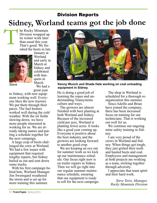# **Sidney, Worland teams got the job done** Division Reports T

he Rocky Mountain Division wrapped up its winter work later than usual this year. That's good. We finished the beets in late



January at Worland and early in March at Sidney and celebrated with banquets in March. We had a

great year

in Sidney, with new equipment working well. Everyone likes the new tractors. We put them through their paces. The fuel heaters worked well during the cold weather. With the oil fields slowing down, we have more people interested in working for us. We are already taking names and putting a schedule together for the next campaign.

A large crop of beets challenged the crew at Worland. We had a few issues with equipment that required lengthy repairs, but Sidney bailed us out and sent down some trucks.

With his first campaign behind him, Worland Manager Jim Swensgard weathered the storm and is set up for more training this summer.



Steve **Kenny Wunch and Shade Hale working on coal unloading equipment in Sidney.**

He is doing a good job of learning the ropes and understanding Transystems culture and ways.

The growers are almost finished with beet planting at both Worland and Sidney. Because of the increased yield per acre, Worland is planting fewer acres. It looks like a good year coming up. Everyone is positive about the beet industry and the growers are looking forward to another good crop.

We are keeping an eye out for summer work as we kick up our maintenance schedule. Our focus right now is on trailer repairs in Sidney. Then we will go right into our regular summer maintenance schedule, ensuring that our equipment is ready to roll for the next campaign.

The shop in Worland is scheduled for a thorough reorganization this summer.

Since Adolfo and Brian have joined the company, there has been increased focus on training for our technicians. That is working out well for us.

We continue our ongoing mine safety training in Sidney.

I am very proud of the crews in Worland and Sidney. When things got tough, they just gritted their teeth and hauled beets and coal. Employees and management at both projects are working as a team, sticking together through adversity.

I appreciate that team spirit and their hard work.

> *Steve Torix, Manager, Rocky Mountain Division*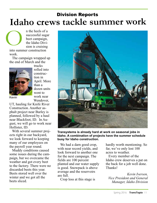### **Idaho crews tackle summer work**  Division Reports

n the heels of a successful sugar beet campaign, the Idaho Division is cruising into summer construction O

work. The campaign wrapped up the end of March and the



trucks rolled into construction in April. More than a dozen units went to work near Wendover,

Kevin

UT, hauling for Knife River Construction. Another asphalt project near Burley is planned, followed by a haul near Blackfoot, ID. In August, we will go to work near Hollister, ID.

With several summer projects right in our backyard, we look forward to keeping many of our employees on the payroll year round.

Muddy conditions caused some issues during the campaign, but we overcame the weather and got every beet to the factory. There were no discarded beets this year. Beets stored well over the winter and we got all the beets sliced.



**Transystems is already hard at work on seasonal jobs in Idaho. A combination of projects have the summer schedule busy for Idaho construction.**

We had a darn good crop, with near record yields, and look forward to another one for the next campaign. The fields are 100 percent planted and our water supply is good. Snowpack is above average and the reservoirs are full.

Crop loss at this stage is

hardly worth mentioning. So far, we've only lost 100 acres to weather.

Every member of the Idaho crew deserves a pat on the back for a job well done. Thanks!

*Kevin Iversen, Vice President and General Manager, Idaho Division*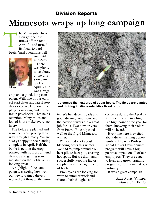### Division Reports

# **Minnesota wraps up long campaign**

he Minnesota Division got the last trucks off the road April 21 and turned its focus to yard beets. Yard operations will T



run until mid-May. There was plenty to celebrate at the division banquet on April 30. It was a huge

Mike

crop and a good, long campaign. With one of our earliest start dates and latest stop dates ever, we kept our employees working and bringing in paychecks. That helps retention. Many miles and lots of hours make everyone happy.

The fields are planted and some beets are poking their way through already. We are always happy to see planting complete in April. Half the battle is getting the crop planted with no frost or wind damage and getting some moisture on the fields. All is looking great.

A highlight of the campaign was seeing how well our newly trained drivers worked out through the win-



**Up comes the next crop of sugar beets. The fields are planted and thriving in Minnesota. Mike Rood photo**

ter. We had decent roads and good driving conditions and the novice drivers did a great job for us. Two new drivers from Puerto Rico adjusted well to the frigid Minnesota winter

We learned a lot about blending beets this winter. We had to jump around from beet pile to beet pile, chasing hot spots. But we did it and successfully kept the factory supplied with the right blend of beets.

Employees are looking forward to summer work and shared their thoughts and

concerns during the April 29 spring employee meeting. It is a high point of the year for them, knowing their voices will be heard.

Everyone here is excited about driver training opportunities. The new Professional Driver Development program will have a big, positive impact on all of our employees. They are eager to learn and grow. Training programs offer them that opportunity.

It was a great campaign.

*Mike Rood, Manager, Minnesota Division*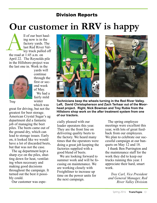#### Division Reports

# **Our customer in RRV is happy**

ll of our beet hauling now is in the factory yards. The last Red River Valley truck pulled off the road at 1:45 a.m. on April 22. The Reynolds pile in the Hillsboro project was the last one in. Work in the the road and



yards will continue through the first or second week of May. We had a fairly mild

winter which was great for driving, but not the greatest for beet storage. American Crystal Sugar's ag department did a fantastic job of managing the beet piles. The beets came out of the ground dry, which can lead to storage issues. Early

on, it looked like we would have a lot of discarded beets, but that was not the case.

The ag department kept a sharp eye on the piles, shutting down for heat, ventilating when necessary and making good decisions throughout the campaign. It turned out the best it possibly could.

Our customer was espe-





Troy **Technicians keep the wheels turning in the Red River Valley. Left, David Christopherson and Zach Terhaar out of the Moorhead project. Right, Nick Bowman and Trey Rubie from the Hillsboro shop work on the after treatment system from one of our tractors.**

> cially pleased with our loader operators this year. They are the front line on delivering quality beets to the factory. We heard many times that the operators were doing a great job keeping the factories supplied with a good blend of beets.

> We are looking forward to summer work and will be focusing on maintenance. We are working closely with Freightliner to increase up time on the power units for the next campaign.

The spring employee meetings were excellent this year, with lots of great feedback from our employees. We plan to celebrate our successful campaign at our banquets on May 12 and 18.

I thank Ben Purrington and the maintenance staff for the work they did to keep our trucks running this year. I appreciate their hard, smart work.

*Troy Carl, Vice President and General Manager, Red River Valley Divisio*n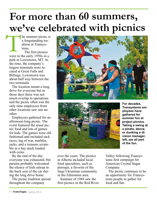# **For more than 60 summers, we've celebrated with picnics**

he summer picnic is a longstanding tradition at Transystems. T

The first picnics were in the early 1950s in a park in Lewistown, MT. At the time, the company's largest terminals were located at Great Falls and Billings. Lewistown was about half way between the two terminals.

The location meant a long drive for everyone but in those days there was not much overlap in operations and the picnic often was the only time employees from other locations saw one another.

Employees gathered for an afternoon-long picnic. The event featured the usual picnic food and lots of games for kids. The games were old fashioned and included sack races, tug of war, marbles, jacks, and a treasure scramble in a hay stack loaded with coins.

By the end of the day everyone was exhausted, but parents probably welcomed the silence of kids asleep in the back seat of the car during the long drive home.

The picnic tradition spread throughout the company





**For decades, Transystems employees have gathered for summer fun at project picnics. Taking a swing at a pinata, above, or dunking a division manager, left, are all part of the fun.** 

over the years. The picnics in Alberta included local food specialties, such as pierogis, a favorite of the large Ukrainian community in the Edmonton area.

Summer of 1984 saw the first picnics in the Red River

Valley following Transystems first campaign for American Crystal Sugar Company.

The picnic continues to be an opportunity for Transystems people to gather for food and fun.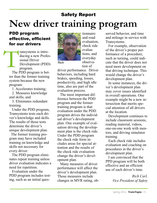### **New driver training program** Safety Report

#### PDD program effective, efficient for our drivers

ransystems is introducing a new Professional Driver Development (PDD) program. T

> The PDD program is better than the former training system because the new program:

1. Accelerates training;

2. Measures knowledge and skills; and

3. Eliminates redundant training.

Under the PDD program, Transystems tests each driver's knowledge and skills. The results of those tests determine the driver's unique development plan.

The former training program may have included training on knowledge and skills not necessary for every driver.

The PDD program eliminates repeat training unless driver evaluation indicates a need for repetition.

Evaluation under the PDD program includes testing, such as an initial ques-



Rich

and road evaluation, check ride evaluations, and everyday observation of

tionnaire

driver performance. Driver behaviors, including hard brakes, speeding, losses, productivity, and high idle time, also are part of the evaluation process.

The most important difference between the PDD program and the former training program is that evaluation under the PDD program drives the individual driver's development plan. One example of evaluation driving the development plan is the check ride. Under the PDD program the check ride form includes areas for special attention and the results of the check ride evaluation change the driver's development plan.

Many measures of driver performance will affect the driver's development plan. Those measures include changes in MVR rating, observed behavior, and time and mileage in service with Transystems.

For example, observation of the driver's proper performance of a procedure, such as turning, could indicate that the driver does not need more development on that driving technique. This would change the driver's development plan.

In some instances, the driver's development plan may cover issues identified in overall operations. One example might be a new intersection that merits special attention of all drivers at the location.

Development continues to include classroom sessions, reading material, videos, one-on-one work with mentors, and driving simulator training.

Each check ride includes evaluation and coaching on procedures in the driver's development plan.

I am convinced that the PPD program will be both effective and an efficient use of each driver's time.

> *Rich Carl, Vice President of Safety*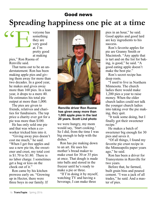### Good news **Spreading happiness one pie at a time**

veryone has something they are very good at. I'm pretty good at making "E

pies," Ron Ruona of Renville said.

That turns out to be an understatement. Ron has been making apple pies and giving them away for more than two decades. In a good year, he makes and gives away more than 160 pies. In a lean year, it drops to a mere 40. He estimates his total pie output at more than 1,000.

The pies are given to friends, relatives and charities for fundraisers. The top price a charity ever got for a pie was more than \$100.

He has only sold one pie and that was when a coworker tricked him into it.

"Giving away pies doesn't cost me much," he said. "When I get free apples and use a new pie tin, the sweetener and crust, my total cost is \$1.70 to \$1.80. There is no labor charge. I sometimes get a hug or kiss on the cheek out of it."

Ron came by his kitchen prowess early on. "Growing up in Hector, there were three boys in our family. If



#### **Renville driver Ron Ruona has given away more than 1,000 apple pies in the last 20 years. Scott Lind photo**

we were hungry, my mom would say, 'Start cooking.' So I did, from the time I was big enough to help with the dishes."

Ron has pie making down to an art. He uses his mother's bread maker to make crust for 30 or 35 pies at once. That dough is made into balls and stored in the freezer until he's ready to make a pie or three.

"If I'm doing it by myself, watching TV and having a beverage, I can make three

pies in an hour," he said. Good apples and good lard are key ingredients to his success.

Ron's favorite apples for pie are Granny Smith or Macintosh. "Any apple that is tart and on the list for baking, is good," he said. "A good eating apple doesn't make the best pie."

Ron's secret recipe has deep roots.

"I used to live in Northern Minnesota. The church ladies there would make 1,200 pies a year to raise money. When the older church ladies could not talk the younger church ladies into taking over the pie making, they quit.

"It took some doing, but I finally got their sweetener recipe."

He makes a batch of sweetener big enough for 30 pies and saves it.

"Of all things, I found my favorite pie crust recipe in the Minneapolis paper years ago," he said.

Ron has been a driver for Transystems in Renville for two years.

Before that, he farmed, built grain bins and poured cement. "I was a jack of all trades," he said. And a master of pies.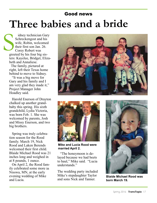### Good news **Three babies and a bride**

idney technician Gary Schreckengost and his wife, Robin, welcomed their first son Jan. 26. Corey Robert was greeted by his four big sisters: Kayelee, Bridget, Elizabeth and Annaliese. S<sub>gree</sub>

The family, pictured at right, left their Texas home behind to move to Sidney.

"It was a big move for Gary and his family and I am very glad they made it," Project Manager John Hoadley said.

Harold Enerson of Drayton chalked up another grandbaby this spring. His sixth grandchild, Lydia Victoria, was born Feb. 1. She was welcomed by parents, Josh and Missy Enerson, and two big brothers.

Spring was truly celebration season for the Rood family. March 19, Nick Rood and Laken Berends welcomed their first child. Blaide Michael Rood was 21 inches long and weighed in at 8 pounds, 1 ounce.

On April 2, the Rood family celebrated some more in Nisswa, MN, at the early evening wedding of Mike and Lucia.





**Mike and Lucia Rood were married April 2.**

"The honeymoon is delayed because we had beets to haul," Mike said. "Lucia understands."

The wedding party included Mike's stepdaughter Taylor and sons Nick and Tanner.



**Blaide Michael Rood was born March 19.**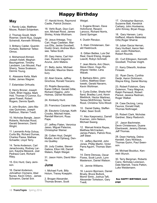### Happy Birthday

#### **May**

1. Randy Leija, Matthew Moore, Robert Schjenken.

2. Thomas Gould, Mark Roemer, David Ruiz, Dwight Schwindt, Kenneth Whitney.

3. Brittany Calder, Quentin Hurtado, Baldemar Tellez-Olmos.

4. Mohamood Ahmed, Joseph Aslett, Meghan Baumgartner, Timothy Landsem, Leo Mousel, Paul Sherry, Tessa Svaleson, Dennis Young.

6. Alassane Keita, Mark Koller, James Wagner.

7. Estanislao Orihuela.

8. Henry Broner, Joseph Clark, Brian Hapka, Mark Holt, Thomas O'Connor, Eugene Powell, Robert Rogers, Dennis Speth.

9. John Brydon, Jairo Macias Quinones, Joseph Rathbun, Warren Tvedt.

10. Nicholas Bangle, Jason Roberts, Nicholas Rood, Gerald Severson, David Wright.

11. Leonardo Avila Ochoa, Curtis Bly, Richard Dumas, Charles Passa, Mathew Schaefer, Lloyd Terry.

14. Terrie Anderson, Carl Janachovsky, Rodney Larson, Kaysha Messick, Joel Pedraza Cant, Richard Riley.

15. Eric Hurd, Gary Jemison.

16. Daniel Anderson, Johnathon Clymens, Abel Nunex, Kevin Orton, James Schramm, Daniel Svir.

17. Harold Annis, Raymond Castle, Patrick Dickson.

18. Verlo Bush, Dion Carlson, Michael Rood, James Shirley, Krista Wickham.

19. Jesus Arteaga, Troy Carl, Hugo Castelan, Marcus Ellis, Jackie Goodsell, Dustin Gram, Andrew Munsee, Talisa Scott.

20. Gary Heins, Carl Holman, Ricardo Izaguirre Acuna, John Matera.

21. Betty Jacks, Michael Schindler, Maurice Stansbury.

22. Abel Gracia, Jeffrey Grochow, Ronald Toscano.

23. Rojelio Benavidez, Karen Gifford, Gerald Gillie, Richard Higgins, John Holmes, Daniel Nicoletto.

24. Kimberly Hunt.

25. Francisco Cazares Vale.

26. Eleuterio Colunga, Keith Crooks, Mitchell Hawk, Randall Marconi, Ross Pape.

27. Jeffrey Flaten, Veronica Jasso, Miguel Palacios, Christopher Weiner.

28. Colten Hoyt, Dwight Mulder, Arvid Ophaug, Dennis Qualley.

29. Judy Coates, Steven Gabica, Elton Hill, Darrell Waters, Ralph Weigel.

31. Jason Holm, David Morris.

#### **June**

1. Michael Funk, Billy Holum, Tracey Koepplin.

2. Brogan Alexander, Thomas Brown, Scott Weigel.

3. Eugene Brown, Dave Hohnhorst, Rexann Larocco, Richard Norris, David Springer.

4. Dustin Rendon.

5. Klain Christensen, Gerald Hasbrouck.

6. Gillian Beliles, Luis Del Real, David Elsing, Angela Leavitt, Robyn Schmett.

7. Jean Morris, Aric Olson, Steve Olson, Hugo Rodriguez Vaidez, Lane Wacek.

8. Barbara Albro, John Collins, Matthew Ebertowski, Gerald Navarro, Kevin Wohlman.

9. Curtis Dolter, Sheila Hoffland, Bradley Lund, Kevin Maddock, Hector Martinez, Teresa McElhinney, Tanner Rood, Christina Torix-Wood.

10. Daniel Dailey, Steffen Falter, Sean Scott.

11. Alex Kasprowicz, Darrell Kvernen, John Nelson, Michael Swang.

12. Manuel Araiza Reyes, Matthew McCracken, James Peters, Patrick Rice, Jeff Steer.

13. Jeffery Barnhill, John Jones, Phillip Martin, Victor Parra Aguirri, Thomas Stanley.

14. Dene Demoss, Oscar Flores, Scott Lynch, Lynn Masterson, Daniel Watson.

15. Jennie Williams.

16. Lavonn Bjornson, Daniel Bruely, Bruce Bullock, Momir Simic, Joshua Taft, Alexander Torkelson, Gary Tvedt.

17. Christopher Bannon, Suzanne Batt, Kendrick Carbary, John Hoolsema, John Kinney, Bryan Klopp.

18. Gary Hansen, Larry Hoffland, Alberto Melendez Ortiz,Roger Sharrai.

19. Julian Garza Hernan, Gary Hurlbert, Aaron Nelson, Justin Robertson, Robert Rounds.

20. Curt Ellingson, Kenneth Goodsell, Thomas Voight.

21. Kerry Dilworth, Andrew Finsaas.

22. Ryan Davis, Cynthia Derijk, Aaron Dickinson, Wayne Kling, Daniel Murray.

23. Robert Folstrom, Gary Golemon, Tracy Magnus, Ralph Perreault, Robert Piersol, Jessica Redman, Roger Walker.

24. Case DeJong, Leroy Faunce, Donald Hiatt, Thomas Nothnagel.

25. Robert Clark, Nicholas Gardner, Stacy Radovich.

27. Jason Bachmeier, Devin Christenson, Duane Ebertowski, Jeremy Ekman, Jeff Thomas.

28. Dean Hartwig, Debra Kendell, Gary Nicklaus, Thomas Quinn, Paul Swenson.

29. Michael Boulduc, Kenneth Wunch.

30. Terry Bergman, Roberto Cano, Nicholas Lorenson, Dale Marriott, Travis Patton, Luke Weidemann.

#### See HAPPY BIRTHDAY, next page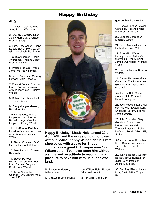#### Happy Birthday

#### **July**

1. Vincent Galarza, Anes-Sani, Robert Wickham.

2. Steven Gewerth, Julian Jolley, Herbert Kleinsasser, Michael Sharp.

3. Larry Christensen, Shane Leiser, Steven Morales, Virgil Mudersbach, Rex Munro.

4. Curtis Andersen, Shaun Andreasen, Thomas Bartley, Michael Watson.

5. Preston Frasure, Ayanle Jama, Marcos Villarreal.

6. Jerald Anderson, Gregory Howard, Marc Paschke.

7. Edward Dennis, Rodrigo Flores, Austin Lindstrom, Ahmed Mohamud, Bradley Walker.

8. Robert Fish, Jason Holt, Terrence Sieving.

9. Cindy Wang Anderson, Robert Wraith.

10. Dirk Gaebe, Thomas Harper, Anthony Lietzau, Robert Ortega, Valentin Osiychuk, Candy Woods.

11. Julio Bueno, Earl Ryan, Houston Scarborough, Gregory Simmons, Jessica White.

12. Steven Coleman, Olaf Grindahl, Joseph Salsgiver.

13. Sean Nesvold, Edward Reynolds.

14. Steven Holyoak, Richard Larson, Blas Martinex-Gardea, Douglas Stack, Todd Winmill.

15. Jesse Comacho, Charles Hunt, Edward Mata, Joseph Rush.



**Happy Birthday! Shade Hale turned 20 on April 20th and the occasion did not pass without notice. Kenny Wunch and his wife showed up with a cake for Shade.**

**"Shade is a great kid," supervisor Scott Wilson said. "I've never seen him without a smile and an attitude to match. It's a pleasure to have him with us out of Worland."**

16. Edward Anderson, William Lerud.

17. Clayton Brame, Michael

Carr, William Felts, Robert Petty, Joel Rudnik.

18. Teri Berg, Eddie Jor-

gensen, Matthew Keating.

19. Donald Bertsch, Micuel Gonzalez, Roger Huntington, Fredrick Straub.

20. Spencer Schroeder, Matthew Wiltse.

21. Travis Marshall, James Rutherford, Luke Volz.

22. Ryan Gilk, Wade Hamby, Robert Miller, Anthony Ruiz, Randy Saint, James Swensgard, Michael Wang.

23. Bradley Larson, Karissa Widme.

24. Dennis Bekkerus, Gary Cook, Kari Franks, Antonio Guadarrama, Joseph Marchiorlatti.

25. Harvey Bell, Miguel Gomez, Dale Grindahl, Rafael Rodriguez.

26. Jay Knowlton, Larry Nelson, Marcus Newton, Karla Shepherd, Jeromy Spence James Stroud.

27. Julio Gonzalez, Gary Goodwin, Christopher Lefors, Johnnie Mai, Thomas Massman, Robin McGhee, Rockie Miles, Billy Smith.

28. Jaime Lorta, Kevin Martinez, Duane Rasmussen, Tyler Tebben, Gerald Wahlen.

29. Daniel Balfour, Wallace Barney, Jesus Nunez Marquiez, John Peterson, Adolfo Siqueiros.

30. Geoffrey Glenn, Joshua Kayl, Clyde Miller, Treyton Rubie.